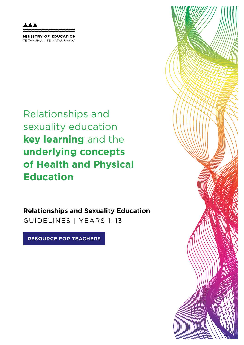MINISTRY OF EDUCATION TE TAHUHU O TE MATAURANGA

Relationships and sexuality education **key learning** and the **underlying concepts of Health and Physical Education**

**Relationships and Sexuality Education**  GUIDELINES | YEARS 1–13

**RESOURCE FOR TEACHERS**

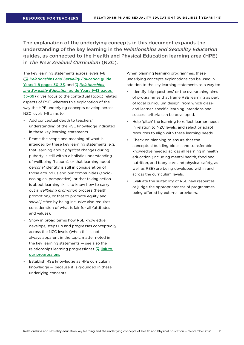The explanation of the underlying concepts in this document expands the understanding of the key learning in the *Relationships and Sexuality Education* guides, as connected to the Health and Physical Education learning area (HPE) in *The New Zealand Curriculum* (NZC).

The key learning statements across levels 1–8 ( *Relationships and Sexuality Education* guide Years 1–8 pages 30–33, and *Relationships and Sexuality Education* guide Years 9–13 pages 35–39) gives focus to the contextual (topic) related aspects of RSE, whereas this explanation of the way the HPE underlying concepts develop across NZC levels 1–8 aims to:

- Add conceptual depth to teachers' understanding of the RSE knowledge indicated in these key learning statements.
- Frame the scope and meaning of what is intended by these key learning statements, e.g. that learning about *physical* changes during puberty is still within a holistic understanding of wellbeing (hauora), or that learning about *personal* identity is still in consideration of those around us and our communities (socioecological perspective), or that taking action is about learning skills to know how to carry out a *wellbeing promotion* process (health promotion), or that to promote equity and *social justice* by being inclusive also requires consideration of what is fair for all (attitudes and values).
- Show in broad terms how RSE knowledge develops, steps up and progresses conceptually across the NZC levels (when this is not always apparent in the topic matter noted in the key learning statements — see also the relationships learning progressions).  $\mathbb Q$  link to our progressions
- Establish RSE knowledge as HPE curriculum knowledge — because it is grounded in these underlying concepts.

When planning learning programmes, these underlying concepts explanations can be used in addition to the key learning statements as a way to:

- Identify 'big questions' or the overarching aims of programmes that frame RSE learning as part of local curriculum design, from which classand learner-specific learning intentions and success criteria can be developed.
- Help 'pitch' the learning to reflect learner needs in relation to NZC levels, and select or adapt resources to align with these learning needs.
- Check on planning to ensure that the conceptual building blocks and transferable knowledge needed across all learning in health education (including mental health, food and nutrition, and body care and physical safety, as well as RSE) are being developed within and across the curriculum levels.
- Evaluate the suitability of RSE new resources, or judge the appropriateness of programmes being offered by external providers.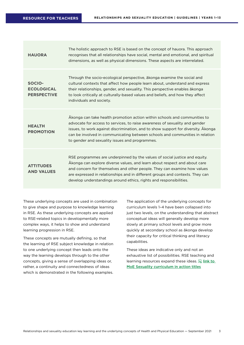| <b>HAUORA</b>                                     | The holistic approach to RSE is based on the concept of hauora. This approach<br>recognises that all relationships have social, mental and emotional, and spiritual<br>dimensions, as well as physical dimensions. These aspects are interrelated.                                                                                                                                         |
|---------------------------------------------------|--------------------------------------------------------------------------------------------------------------------------------------------------------------------------------------------------------------------------------------------------------------------------------------------------------------------------------------------------------------------------------------------|
| SOCIO-<br><b>ECOLOGICAL</b><br><b>PERSPECTIVE</b> | Through the socio-ecological perspective, a konga examine the social and<br>cultural contexts that affect how people learn about, understand and express<br>their relationships, gender, and sexuality. This perspective enables a konga<br>to look critically at culturally-based values and beliefs, and how they affect<br>individuals and society.                                     |
| <b>HEALTH</b><br><b>PROMOTION</b>                 | Akonga can take health promotion action within schools and communities to<br>advocate for access to services, to raise awareness of sexuality and gender<br>issues, to work against discrimination, and to show support for diversity. Akonga<br>can be involved in communicating between schools and communities in relation<br>to gender and sexuality issues and programmes.            |
| <b>ATTITUDES</b><br><b>AND VALUES</b>             | RSE programmes are underpinned by the values of social justice and equity.<br>Akonga can explore diverse values, and learn about respect and about care<br>and concern for themselves and other people. They can examine how values<br>are expressed in relationships and in different groups and contexts. They can<br>develop understandings around ethics, rights and responsibilities. |

These underlying concepts are used in combination to give shape and purpose to knowledge learning in RSE. As these underlying concepts are applied to RSE-related topics in developmentally more complex ways, it helps to show and understand learning progression in RSE.

These concepts are mutually defining, so that the learning of RSE subject knowledge in relation to one underlying concept then leads onto the way the learning develops through to the other concepts, giving a sense of overlapping ideas or, rather, a continuity and connectedness of ideas which is demonstrated in the following examples.

The application of the underlying concepts for curriculum levels 1–4 have been collapsed into just two levels, on the understanding that abstract conceptual ideas will generally develop more slowly at primary school levels and grow more quickly at secondary school as ākonga develop their capacity for critical thinking and literacy capabilities.

These ideas are indicative only and not an exhaustive list of possibilities. RSE teaching and learning resources expand these ideas.  $\mathbb{R}$  link to MoE Sexuality curriculum in action titles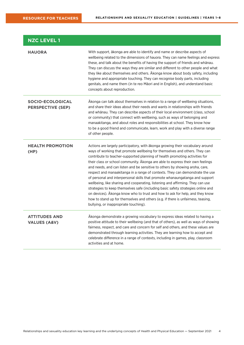| <b>NZC LEVEL 1</b>                                  |                                                                                                                                                                                                                                                                                                                                                                                                                                                                                                                                                                                                                                                                                                                                                                                                                                                                                                                                                                    |
|-----------------------------------------------------|--------------------------------------------------------------------------------------------------------------------------------------------------------------------------------------------------------------------------------------------------------------------------------------------------------------------------------------------------------------------------------------------------------------------------------------------------------------------------------------------------------------------------------------------------------------------------------------------------------------------------------------------------------------------------------------------------------------------------------------------------------------------------------------------------------------------------------------------------------------------------------------------------------------------------------------------------------------------|
| <b>HAUORA</b>                                       | With support, a konga are able to identify and name or describe aspects of<br>wellbeing related to the dimensions of hauora. They can name feelings and express<br>these, and talk about the benefits of having the support of friends and whanau.<br>They can discuss the ways they are similar and different to other people and what<br>they like about themselves and others. Akonga know about body safety, including<br>hygiene and appropriate touching. They can recognise body parts, including<br>genitals, and name them (in te reo Māori and in English), and understand basic<br>concepts about reproduction.                                                                                                                                                                                                                                                                                                                                         |
| <b>SOCIO-ECOLOGICAL</b><br><b>PERSPECTIVE (SEP)</b> | Akonga can talk about themselves in relation to a range of wellbeing situations,<br>and share their ideas about their needs and wants in relationships with friends<br>and whanau. They can describe aspects of their local environment (class, school<br>or community) that connect with wellbeing, such as ways of belonging and<br>manaakitanga, and about roles and responsibilities at school. They know how<br>to be a good friend and communicate, learn, work and play with a diverse range<br>of other people.                                                                                                                                                                                                                                                                                                                                                                                                                                            |
| <b>HEALTH PROMOTION</b><br>(HP)                     | Actions are largely participatory, with a konga growing their vocabulary around<br>ways of working that promote wellbeing for themselves and others. They can<br>contribute to teacher-supported planning of health promoting activities for<br>their class or school community. Akonga are able to express their own feelings<br>and needs, and can listen and be sensitive to others by showing aroha, care,<br>respect and manaakitanga in a range of contexts. They can demonstrate the use<br>of personal and interpersonal skills that promote whanaungatanga and support<br>wellbeing, like sharing and cooperating, listening and affirming. They can use<br>strategies to keep themselves safe (including basic safety strategies online and<br>on devices). Akonga know who to trust and how to ask for help, and they know<br>how to stand up for themselves and others (e.g. if there is unfairness, teasing,<br>bullying, or inappropriate touching). |
| <b>ATTITUDES AND</b><br><b>VALUES (A&amp;V)</b>     | Akonga demonstrate a growing vocabulary to express ideas related to having a<br>positive attitude to their wellbeing (and that of others), as well as ways of showing<br>fairness, respect, and care and concern for self and others, and these values are<br>demonstrated through learning activities. They are learning how to accept and<br>celebrate difference in a range of contexts, including in games, play, classroom<br>activities and at home.                                                                                                                                                                                                                                                                                                                                                                                                                                                                                                         |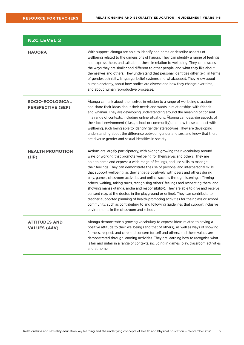| <b>NZC LEVEL 2</b>                                  |                                                                                                                                                                                                                                                                                                                                                                                                                                                                                                                                                                                                                                                                                                                                                                                                                                                                                                                                                                                                       |
|-----------------------------------------------------|-------------------------------------------------------------------------------------------------------------------------------------------------------------------------------------------------------------------------------------------------------------------------------------------------------------------------------------------------------------------------------------------------------------------------------------------------------------------------------------------------------------------------------------------------------------------------------------------------------------------------------------------------------------------------------------------------------------------------------------------------------------------------------------------------------------------------------------------------------------------------------------------------------------------------------------------------------------------------------------------------------|
| <b>HAUORA</b>                                       | With support, ākonga are able to identify and name or describe aspects of<br>wellbeing related to the dimensions of hauora. They can identify a range of feelings<br>and express these, and talk about these in relation to wellbeing. They can discuss<br>the ways they are similar and different to other people, and what they like about<br>themselves and others. They understand that personal identities differ (e.g. in terms<br>of gender, ethnicity, language, belief systems and whakapapa). They know about<br>human anatomy, about how bodies are diverse and how they change over time,<br>and about human reproductive processes.                                                                                                                                                                                                                                                                                                                                                      |
| <b>SOCIO-ECOLOGICAL</b><br><b>PERSPECTIVE (SEP)</b> | Akonga can talk about themselves in relation to a range of wellbeing situations,<br>and share their ideas about their needs and wants in relationships with friends<br>and whanau. They are developing understanding around the meaning of consent<br>in a range of contexts, including online situations. Akonga can describe aspects of<br>their local environment (class, school or community) and how these connect with<br>wellbeing, such being able to identify gender stereotypes. They are developing<br>understanding about the difference between gender and sex, and know that there<br>are diverse gender and sexual identities in society.                                                                                                                                                                                                                                                                                                                                              |
| <b>HEALTH PROMOTION</b><br>(HP)                     | Actions are largely participatory, with ākonga growing their vocabulary around<br>ways of working that promote wellbeing for themselves and others. They are<br>able to name and express a wide range of feelings, and use skills to manage<br>their feelings. They can demonstrate the use of personal and interpersonal skills<br>that support wellbeing, as they engage positively with peers and others during<br>play, games, classroom activities and online, such as through listening, affirming<br>others, waiting, taking turns, recognising others' feelings and respecting them, and<br>showing manaakitanga, aroha and responsibility). They are able to give and receive<br>consent (e.g. at the doctor, in the playground or online). They can contribute to<br>teacher-supported planning of health-promoting activities for their class or school<br>community, such as contributing to and following guidelines that support inclusive<br>environments in the classroom and school. |
| <b>ATTITUDES AND</b><br><b>VALUES (A&amp;V)</b>     | Ākonga demonstrate a growing vocabulary to express ideas related to having a<br>positive attitude to their wellbeing (and that of others), as well as ways of showing<br>fairness, respect, and care and concern for self and others, and these values are<br>demonstrated through learning activities. They are learning how to recognise what<br>is fair and unfair in a range of contexts, including in games, play, classroom activities<br>and at home.                                                                                                                                                                                                                                                                                                                                                                                                                                                                                                                                          |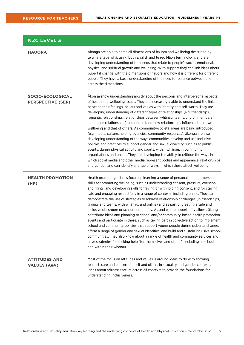| <b>NZC LEVEL 3</b>                                  |                                                                                                                                                                                                                                                                                                                                                                                                                                                                                                                                                                                                                                                                                                                                                                                                                                                                                                                                                                                                                                                                                                                                                                                          |
|-----------------------------------------------------|------------------------------------------------------------------------------------------------------------------------------------------------------------------------------------------------------------------------------------------------------------------------------------------------------------------------------------------------------------------------------------------------------------------------------------------------------------------------------------------------------------------------------------------------------------------------------------------------------------------------------------------------------------------------------------------------------------------------------------------------------------------------------------------------------------------------------------------------------------------------------------------------------------------------------------------------------------------------------------------------------------------------------------------------------------------------------------------------------------------------------------------------------------------------------------------|
| <b>HAUORA</b>                                       | Akonga are able to name all dimensions of hauora and wellbeing described by<br>te whare tapa whā, using both English and te reo Māori terminology, and are<br>developing understanding of the needs that relate to people's social, emotional,<br>physical and spiritual growth and wellbeing. With support they can link ideas about<br>pubertal change with the dimensions of hauora and how it is different for different<br>people. They have a basic understanding of the need for balance between and<br>across the dimensions.                                                                                                                                                                                                                                                                                                                                                                                                                                                                                                                                                                                                                                                    |
| <b>SOCIO-ECOLOGICAL</b><br><b>PERSPECTIVE (SEP)</b> | Akonga show understanding mostly about the personal and interpersonal aspects<br>of health and wellbeing issues. They are increasingly able to understand the links<br>between their feelings, beliefs and values with identity and self-worth. They are<br>developing understanding of different types of relationships (e.g. friendships,<br>romantic relationships, relationships between whanau, teams, church members<br>and online relationships) and understand how relationships influence their own<br>wellbeing and that of others. As community/societal ideas are being introduced<br>(e.g. media, culture, helping agencies, community resources), ākonga are also<br>developing understanding of the ways communities develop and use inclusive<br>policies and practices to support gender and sexual diversity, such as at public<br>events, during physical activity and sports, within whānau, in community<br>organisations and online. They are developing the ability to critique the ways in<br>which social media and other media represent bodies and appearance, relationships<br>and gender, and can identify a range of ways in which these affect wellbeing. |
| <b>HEALTH PROMOTION</b><br>(HP)                     | Health promoting actions focus on learning a range of personal and interpersonal<br>skills for promoting wellbeing, such as understanding consent, pressure, coercion,<br>and rights, and developing skills for giving or withholding consent, and for staying<br>safe and engaging respectfully in a range of contexts, including online. They can<br>demonstrate the use of strategies to address relationship challenges (in friendships,<br>groups and teams, with whānau, and online) and as part of creating a safe and<br>inclusive classroom or school community. As and where opportunity allows, ākonga<br>contribute ideas and planning to school and/or community-based health promotion<br>events and participate in these, such as taking part in collective action to implement<br>school and community policies that support young people during pubertal change,<br>affirm a range of gender and sexual identities, and build and sustain inclusive school<br>communities. They also know about a range of health and community services and<br>have strategies for seeking help (for themselves and others), including at school<br>and within their whānau.           |
| <b>ATTITUDES AND</b><br><b>VALUES (A&amp;V)</b>     | Most of the focus on attitudes and values is around ideas to do with showing<br>respect, care and concern for self and others in sexuality and gender contexts.<br>Ideas about fairness feature across all contexts to provide the foundations for<br>understanding inclusiveness.                                                                                                                                                                                                                                                                                                                                                                                                                                                                                                                                                                                                                                                                                                                                                                                                                                                                                                       |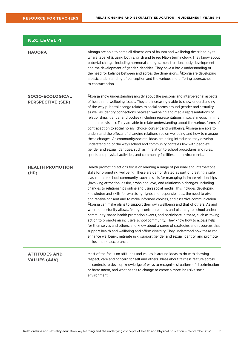| <b>NZC LEVEL 4</b>                                  |                                                                                                                                                                                                                                                                                                                                                                                                                                                                                                                                                                                                                                                                                                                                                                                                                                                                                                                                                                                                                                                                                                                                                                                                                                                     |
|-----------------------------------------------------|-----------------------------------------------------------------------------------------------------------------------------------------------------------------------------------------------------------------------------------------------------------------------------------------------------------------------------------------------------------------------------------------------------------------------------------------------------------------------------------------------------------------------------------------------------------------------------------------------------------------------------------------------------------------------------------------------------------------------------------------------------------------------------------------------------------------------------------------------------------------------------------------------------------------------------------------------------------------------------------------------------------------------------------------------------------------------------------------------------------------------------------------------------------------------------------------------------------------------------------------------------|
| <b>HAUORA</b>                                       | Akonga are able to name all dimensions of hauora and wellbeing described by te<br>whare tapa whā, using both English and te reo Māori terminology. They know about<br>pubertal change, including hormonal changes, menstruation, body development<br>and the development of gender identities. They have a basic understanding of<br>the need for balance between and across the dimensions. Akonga are developing<br>a basic understanding of conception and the various and differing approaches<br>to contraception.                                                                                                                                                                                                                                                                                                                                                                                                                                                                                                                                                                                                                                                                                                                             |
| <b>SOCIO-ECOLOGICAL</b><br><b>PERSPECTIVE (SEP)</b> | Akonga show understanding mostly about the personal and interpersonal aspects<br>of health and wellbeing issues. They are increasingly able to show understanding<br>of the way pubertal change relates to social norms around gender and sexuality,<br>as well as identify connections between wellbeing and media representations of<br>relationships, gender and bodies (including representations in social media, in films<br>and on television). They are able to relate understanding about the various forms of<br>contraception to social norms, choice, consent and wellbeing. Akonga are able to<br>understand the effects of changing relationships on wellbeing and how to manage<br>these changes. As community/societal ideas are being introduced they develop<br>understanding of the ways school and community contexts link with people's<br>gender and sexual identities, such as in relation to school procedures and rules,<br>sports and physical activities, and community facilities and environments.                                                                                                                                                                                                                     |
| <b>HEALTH PROMOTION</b><br>(HP)                     | Health promoting actions focus on learning a range of personal and interpersonal<br>skills for promoting wellbeing. These are demonstrated as part of creating a safe<br>classroom or school community, such as skills for managing intimate relationships<br>(involving attraction, desire, aroha and love) and relationship changes, including<br>changes to relationships online and using social media. This includes developing<br>knowledge and skills for exercising rights and responsibilities, the need to give<br>and receive consent and to make informed choices, and assertive communication.<br>Akonga can make plans to support their own wellbeing and that of others. As and<br>where opportunity allows, ākonga contribute ideas and planning to school and/or<br>community-based health promotion events, and participate in these, such as taking<br>action to promote an inclusive school community. They know how to access help<br>for themselves and others, and know about a range of strategies and resources that<br>support health and wellbeing and affirm diversity. They understand how these can<br>enhance wellbeing, mitigate risk, support gender and sexual identity, and promote<br>inclusion and acceptance. |
| <b>ATTITUDES AND</b><br><b>VALUES (A&amp;V)</b>     | Most of the focus on attitudes and values is around ideas to do with showing<br>respect, care and concern for self and others. Ideas about fairness feature across<br>all contexts to develop knowledge of ways to recognise situations of discrimination<br>or harassment, and what needs to change to create a more inclusive social<br>environment.                                                                                                                                                                                                                                                                                                                                                                                                                                                                                                                                                                                                                                                                                                                                                                                                                                                                                              |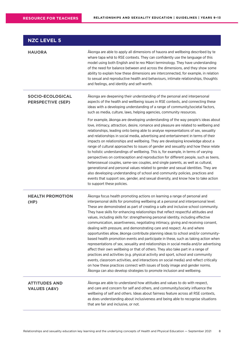| <b>NZC LEVEL 5</b>                                  |                                                                                                                                                                                                                                                                                                                                                                                                                                                                                                                                                                                                                                                                                                                                                                                                                                                                                                                                                                                                                                                                                                                                                                                                                                                                                                 |
|-----------------------------------------------------|-------------------------------------------------------------------------------------------------------------------------------------------------------------------------------------------------------------------------------------------------------------------------------------------------------------------------------------------------------------------------------------------------------------------------------------------------------------------------------------------------------------------------------------------------------------------------------------------------------------------------------------------------------------------------------------------------------------------------------------------------------------------------------------------------------------------------------------------------------------------------------------------------------------------------------------------------------------------------------------------------------------------------------------------------------------------------------------------------------------------------------------------------------------------------------------------------------------------------------------------------------------------------------------------------|
| <b>HAUORA</b>                                       | Akonga are able to apply all dimensions of hauora and wellbeing described by te<br>whare tapa wha to RSE contexts. They can confidently use the language of this<br>model using both English and te reo Māori terminology. They have understanding<br>of the need for balance between and across the dimensions, and they show some<br>ability to explain how these dimensions are interconnected, for example, in relation<br>to sexual and reproductive health and behaviours, intimate relationships, thoughts<br>and feelings, and identity and self-worth.                                                                                                                                                                                                                                                                                                                                                                                                                                                                                                                                                                                                                                                                                                                                 |
| <b>SOCIO-ECOLOGICAL</b><br><b>PERSPECTIVE (SEP)</b> | Akonga are deepening their understanding of the personal and interpersonal<br>aspects of the health and wellbeing issues in RSE contexts, and connecting these<br>ideas with a developing understanding of a range of community/societal factors,<br>such as media, culture, laws, helping agencies, community resources.                                                                                                                                                                                                                                                                                                                                                                                                                                                                                                                                                                                                                                                                                                                                                                                                                                                                                                                                                                       |
|                                                     | For example, ākonga are developing understanding of the way people's ideas about<br>love, intimacy, attraction, desire, romance and pleasure are related to wellbeing and<br>relationships, leading onto being able to analyse representations of sex, sexuality<br>and relationships in social media, advertising and entertainment in terms of their<br>impacts on relationships and wellbeing. They are developing knowledge about a<br>range of cultural approaches to issues of gender and sexuality and how these relate<br>to holistic understandings of wellbeing. This is, for example, in terms of varying<br>perspectives on contraception and reproduction for different people, such as teens,<br>heterosexual couples, same-sex couples, and single parents, as well as cultural,<br>generational and personal values related to gender and sexual identities. They are<br>also developing understanding of school and community policies, practices and<br>events that support sex, gender, and sexual diversity, and know how to take action<br>to support these policies.                                                                                                                                                                                                      |
| <b>HEALTH PROMOTION</b><br>(HP)                     | Akonga focus health promoting actions on learning a range of personal and<br>interpersonal skills for promoting wellbeing at a personal and interpersonal level.<br>These are demonstrated as part of creating a safe and inclusive school community.<br>They have skills for enhancing relationships that reflect respectful attitudes and<br>values, including skills for: strengthening personal identity, including effective<br>communication, assertiveness, negotiating intimacy, giving and receiving consent,<br>dealing with pressure, and demonstrating care and respect. As and where<br>opportunities allow, ākonga contribute planning ideas to school and/or community-<br>based health promotion events and participate in these, such as taking action when<br>representations of sex, sexuality and relationships in social media and/or advertising<br>affect their own wellbeing or that of others. They also take part in a range of<br>practices and activities (e.g. physical activity and sport, school and community<br>events, classroom activities, and interactions on social media) and reflect critically<br>on how these practices connect with issues of body image and gender norms.<br>Akonga can also develop strategies to promote inclusion and wellbeing. |
| <b>ATTITUDES AND</b><br><b>VALUES (A&amp;V)</b>     | Akonga are able to understand how attitudes and values to do with respect,<br>and care and concern for self and others, and community/society influence the<br>wellbeing of self and others. Ideas about fairness feature across all RSE contexts,<br>as does understanding about inclusiveness and being able to recognise situations<br>that are fair and inclusive, or not.                                                                                                                                                                                                                                                                                                                                                                                                                                                                                                                                                                                                                                                                                                                                                                                                                                                                                                                  |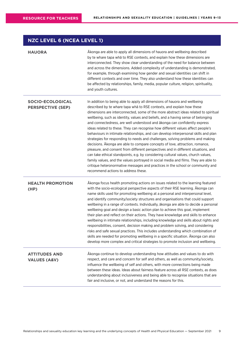## **NZC LEVEL 6 (NCEA LEVEL 1)**

| <b>HAUORA</b>                                       | Akonga are able to apply all dimensions of hauora and wellbeing described<br>by te whare tapa whā to RSE contexts, and explain how these dimensions are<br>interconnected. They show clear understanding of the need for balance between<br>and across the dimensions. Added complexity of understanding is demonstrated,<br>for example, through examining how gender and sexual identities can shift in<br>different contexts and over time. They also understand how these identities can<br>be affected by relationships, family, media, popular culture, religion, spirituality,<br>and youth cultures.                                                                                                                                                                                                                                                                                                                                                                                                                                                                                                                                      |
|-----------------------------------------------------|---------------------------------------------------------------------------------------------------------------------------------------------------------------------------------------------------------------------------------------------------------------------------------------------------------------------------------------------------------------------------------------------------------------------------------------------------------------------------------------------------------------------------------------------------------------------------------------------------------------------------------------------------------------------------------------------------------------------------------------------------------------------------------------------------------------------------------------------------------------------------------------------------------------------------------------------------------------------------------------------------------------------------------------------------------------------------------------------------------------------------------------------------|
| <b>SOCIO-ECOLOGICAL</b><br><b>PERSPECTIVE (SEP)</b> | In addition to being able to apply all dimensions of hauora and wellbeing<br>described by te whare tapa wha to RSE contexts, and explain how these<br>dimensions are interconnected, some of the more abstract ideas related to spiritual<br>wellbeing, such as identity, values and beliefs, and a having sense of belonging<br>and connectedness, are well understood and ākonga can confidently express<br>ideas related to these. They can recognise how different values affect people's<br>behaviours in intimate relationships, and can develop interpersonal skills and plan<br>strategies for responding to needs and challenges, solving problems and making<br>decisions. Akonga are able to compare concepts of love, attraction, romance,<br>pleasure, and consent from different perspectives and in different situations, and<br>can take ethical standpoints, e.g. by considering cultural values, church values,<br>family values, and the values portrayed in social media and films. They are able to<br>critique heteronormative messages and practices in the school or community and<br>recommend actions to address these. |
| <b>HEALTH PROMOTION</b><br>(HP)                     | Akonga focus health promoting actions on issues related to the learning featured<br>with the socio-ecological perspective aspects of their RSE learning. Akonga can<br>name skills used for promoting wellbeing at a personal and interpersonal level,<br>and identify community/society structures and organisations that could support<br>wellbeing in a range of contexts. Individually, ākonga are able to decide a personal<br>wellbeing goal and design a basic action plan to achieve this goal, implement<br>their plan and reflect on their actions. They have knowledge and skills to enhance<br>wellbeing in intimate relationships, including knowledge and skills about rights and<br>responsibilities, consent, decision making and problem solving, and considering<br>risks and safe sexual practices. This includes understanding which combination of<br>skills are needed for promoting wellbeing in a specific situation. Akonga can also<br>develop more complex and critical strategies to promote inclusion and wellbeing.                                                                                                 |
| <b>ATTITUDES AND</b><br><b>VALUES (A&amp;V)</b>     | Ākonga continue to develop understanding how attitudes and values to do with<br>respect, and care and concern for self and others, as well as community/society,<br>influence the wellbeing of self and others, with more connections being made<br>between these ideas. Ideas about fairness feature across all RSE contexts, as does<br>understanding about inclusiveness and being able to recognise situations that are<br>fair and inclusive, or not, and understand the reasons for this.                                                                                                                                                                                                                                                                                                                                                                                                                                                                                                                                                                                                                                                   |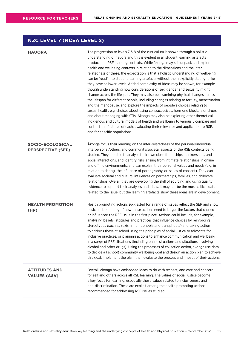## **NZC LEVEL 7 (NCEA LEVEL 2)**

| <b>HAUORA</b>                                       | The progression to levels 7 & 8 of the curriculum is shown through a holistic<br>understanding of hauora and this is evident in all student learning artefacts<br>produced in RSE learning contexts. While akonga may still unpack and explore<br>health and wellbeing contexts in relation to the dimensions and the inter-<br>relatedness of these, the expectation is that a holistic understanding of wellbeing<br>can be 'read' into student learning artefacts without them explicitly stating it like<br>they have at lower levels. Added complexity of ideas may be shown, for example,<br>though understanding how considerations of sex, gender and sexuality might<br>change across the lifespan. They may also be examining physical changes across<br>the lifespan for different people, including changes relating to fertility, menstruation<br>and the menopause, and explore the impacts of people's choices relating to<br>sexual health, e.g. choices about using contraceptives, hormone blockers or drugs,<br>and about managing with STIs. Akonga may also be exploring other theoretical,<br>indigenous and cultural models of health and wellbeing to variously compare and<br>contrast the features of each, evaluating their relevance and application to RSE,<br>and for specific populations. |
|-----------------------------------------------------|---------------------------------------------------------------------------------------------------------------------------------------------------------------------------------------------------------------------------------------------------------------------------------------------------------------------------------------------------------------------------------------------------------------------------------------------------------------------------------------------------------------------------------------------------------------------------------------------------------------------------------------------------------------------------------------------------------------------------------------------------------------------------------------------------------------------------------------------------------------------------------------------------------------------------------------------------------------------------------------------------------------------------------------------------------------------------------------------------------------------------------------------------------------------------------------------------------------------------------------------------------------------------------------------------------------------------|
| <b>SOCIO-ECOLOGICAL</b><br><b>PERSPECTIVE (SEP)</b> | Akonga focus their learning on the inter-relatedness of the personal/individual,<br>interpersonal/others, and community/societal aspects of the RSE contexts being<br>studied. They are able to analyse their own close friendships, partnerships, and<br>social interactions, and identify risks arising from intimate relationships in online<br>and offline environments, and can explain their personal values and needs (e.g. in<br>relation to dating, the influence of pornography, or issues of consent). They can<br>evaluate societal and cultural influences on partnerships, families, and childcare<br>relationships. Overall they are developing the skill of sourcing and using quality<br>evidence to support their analyses and ideas. It may not be the most critical data<br>related to the issue, but the learning artefacts show these ideas are in development.                                                                                                                                                                                                                                                                                                                                                                                                                                     |
| <b>HEALTH PROMOTION</b><br>(HP)                     | Health promoting actions suggested for a range of issues reflect the SEP and show<br>basic understanding of how these actions need to target the factors that caused<br>or influenced the RSE issue in the first place. Actions could include, for example,<br>analysing beliefs, attitudes and practices that influence choices by reinforcing<br>stereotypes (such as sexism, homophobia and transphobia) and taking action<br>to address these at school using the principles of social justice to advocate for<br>inclusive practices, or planning actions to enhance communication and wellbeing<br>in a range of RSE situations (including online situations and situations involving<br>alcohol and other drugs). Using the processes of collection action, ākonga use data<br>to decide a (school) community wellbeing goal and design an action plan to achieve<br>this goal, implement the plan, then evaluate the process and impact of their actions.                                                                                                                                                                                                                                                                                                                                                         |
| <b>ATTITUDES AND</b><br><b>VALUES (A&amp;V)</b>     | Overall, akonga have embedded ideas to do with respect, and care and concern<br>for self and others across all RSE learning. The values of social justice become<br>a key focus for learning, especially those values related to inclusiveness and<br>non-discrimination. These are explicit among the health promoting actions<br>recommended for addressing RSE issues studied.                                                                                                                                                                                                                                                                                                                                                                                                                                                                                                                                                                                                                                                                                                                                                                                                                                                                                                                                         |